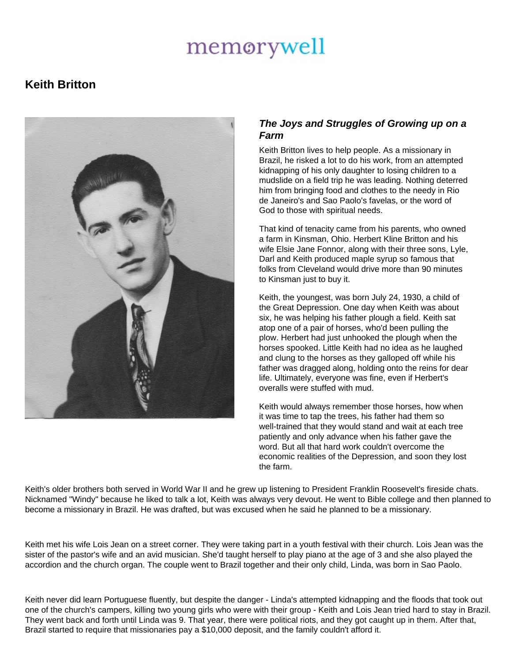## memorywell

## **Keith Britton**



## **The Joys and Struggles of Growing up on a Farm**

Keith Britton lives to help people. As a missionary in Brazil, he risked a lot to do his work, from an attempted kidnapping of his only daughter to losing children to a mudslide on a field trip he was leading. Nothing deterred him from bringing food and clothes to the needy in Rio de Janeiro's and Sao Paolo's favelas, or the word of God to those with spiritual needs.

That kind of tenacity came from his parents, who owned a farm in Kinsman, Ohio. Herbert Kline Britton and his wife Elsie Jane Fonnor, along with their three sons, Lyle, Darl and Keith produced maple syrup so famous that folks from Cleveland would drive more than 90 minutes to Kinsman just to buy it.

Keith, the youngest, was born July 24, 1930, a child of the Great Depression. One day when Keith was about six, he was helping his father plough a field. Keith sat atop one of a pair of horses, who'd been pulling the plow. Herbert had just unhooked the plough when the horses spooked. Little Keith had no idea as he laughed and clung to the horses as they galloped off while his father was dragged along, holding onto the reins for dear life. Ultimately, everyone was fine, even if Herbert's overalls were stuffed with mud.

Keith would always remember those horses, how when it was time to tap the trees, his father had them so well-trained that they would stand and wait at each tree patiently and only advance when his father gave the word. But all that hard work couldn't overcome the economic realities of the Depression, and soon they lost the farm.

Keith's older brothers both served in World War II and he grew up listening to President Franklin Roosevelt's fireside chats. Nicknamed "Windy" because he liked to talk a lot, Keith was always very devout. He went to Bible college and then planned to become a missionary in Brazil. He was drafted, but was excused when he said he planned to be a missionary.

Keith met his wife Lois Jean on a street corner. They were taking part in a youth festival with their church. Lois Jean was the sister of the pastor's wife and an avid musician. She'd taught herself to play piano at the age of 3 and she also played the accordion and the church organ. The couple went to Brazil together and their only child, Linda, was born in Sao Paolo.

Keith never did learn Portuguese fluently, but despite the danger - Linda's attempted kidnapping and the floods that took out one of the church's campers, killing two young girls who were with their group - Keith and Lois Jean tried hard to stay in Brazil. They went back and forth until Linda was 9. That year, there were political riots, and they got caught up in them. After that, Brazil started to require that missionaries pay a \$10,000 deposit, and the family couldn't afford it.